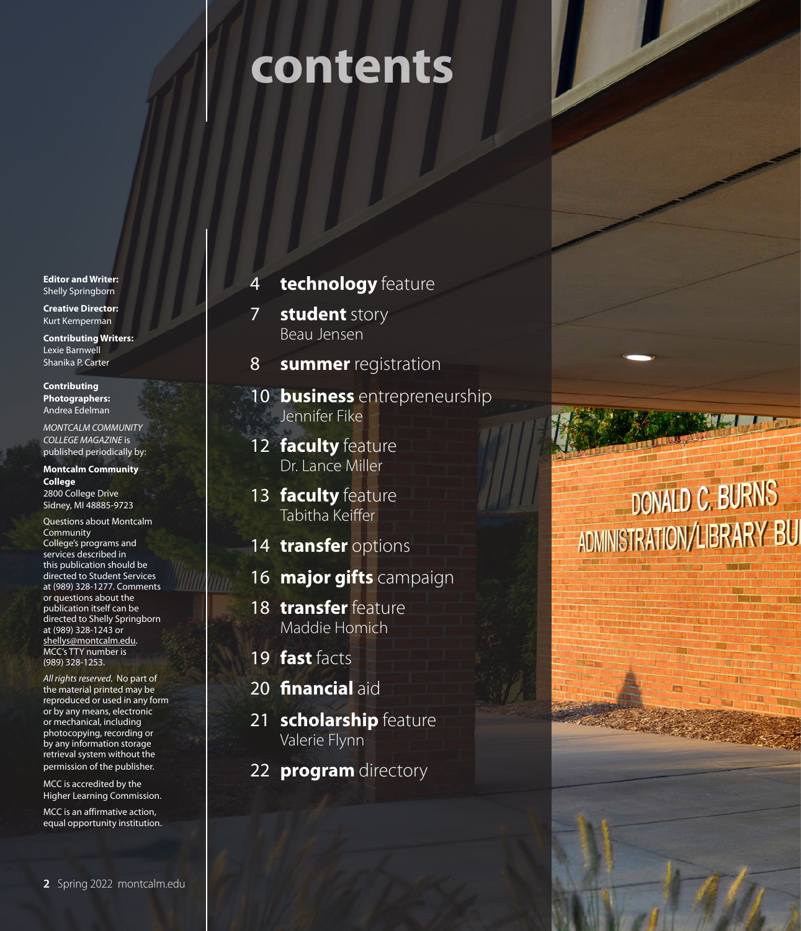# **contents**

**Editor and Writer:** Shelly Springborn

**Creative Director:**  Kurt Kemperman

**Contributing Writers:**  Lexie Barnwell Shanika P. Carter

**Contributing Photographers:**  Andrea Edelman

*MONTCALM COMMUNITY COLLEGE MAGAZINE* is published periodically by:

**Montcalm Community College** 

2800 College Drive Sidney, MI 48885-9723

Questions about Montcalm Community College's programs and services described in this publication should be directed to Student Services at (989) 328-1277. Comments or questions about the publication itself can be directed to Shelly Springborn at (989) 328-1243 or shellys@montcalm.edu. MCC's TTY number is (989) 328-1253.

*All rights reserved.* No part of the material printed may be reproduced or used in any form or by any means, electronic or mechanical, including photocopying, recording or by any information storage retrieval system without the permission of the publisher.

MCC is accredited by the Higher Learning Commission.

MCC is an affirmative action, equal opportunity institution.

#### 4 **technology** feature

7 **student** story Beau Jensen

- 8 **summer** registration
- 10 **business** entrepreneurship Jennifer Fike
- 12 **faculty** feature Dr. Lance Miller
- 13 **faculty** feature Tabitha Keiffer
- 14 **transfer** options
- 16 **major gifts** campaign
- 18 **transfer** feature Maddie Homich
- 19 **fast** facts
- 20 **financial** aid
- 21 **scholarship** feature Valerie Flynn
- 22 **program** directory

## **DONALD C. BURNS** ADMINISTRATION/LIBRARY BUI